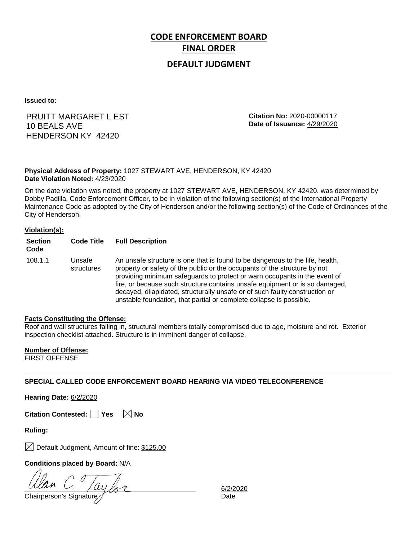# **CODE ENFORCEMENT BOARD FINAL ORDER**

### **DEFAULT JUDGMENT**

**Issued to:**

### PRUITT MARGARET L EST 10 BEALS AVE HENDERSON KY 42420

**Citation No:** 2020-00000117 **Date of Issuance:** 4/29/2020

#### **Physical Address of Property:** 1027 STEWART AVE, HENDERSON, KY 42420 **Date Violation Noted:** 4/23/2020

On the date violation was noted, the property at 1027 STEWART AVE, HENDERSON, KY 42420. was determined by Dobby Padilla, Code Enforcement Officer, to be in violation of the following section(s) of the International Property Maintenance Code as adopted by the City of Henderson and/or the following section(s) of the Code of Ordinances of the City of Henderson.

#### **Violation(s):**

| <b>Section</b><br>Code | <b>Code Title</b>    | <b>Full Description</b>                                                                                                                                                                                                                                                                                                                                                                                                                                                      |
|------------------------|----------------------|------------------------------------------------------------------------------------------------------------------------------------------------------------------------------------------------------------------------------------------------------------------------------------------------------------------------------------------------------------------------------------------------------------------------------------------------------------------------------|
| 108.1.1                | Unsafe<br>structures | An unsafe structure is one that is found to be dangerous to the life, health,<br>property or safety of the public or the occupants of the structure by not<br>providing minimum safeguards to protect or warn occupants in the event of<br>fire, or because such structure contains unsafe equipment or is so damaged,<br>decayed, dilapidated, structurally unsafe or of such faulty construction or<br>unstable foundation, that partial or complete collapse is possible. |

#### **Facts Constituting the Offense:**

Roof and wall structures falling in, structural members totally compromised due to age, moisture and rot. Exterior inspection checklist attached. Structure is in imminent danger of collapse.

#### **Number of Offense:**

FIRST OFFENSE

#### **SPECIAL CALLED CODE ENFORCEMENT BOARD HEARING VIA VIDEO TELECONFERENCE**

**Hearing Date:** 6/2/2020

**Citation Contested:** □ Yes  $\ \ \mathbb{X}$  No

**Ruling:**

 $\boxtimes$  Default Judgment, Amount of fine: \$125.00

**Conditions placed by Board:** N/A

ayl

Chairperson's Signature and Date

6/2/2020